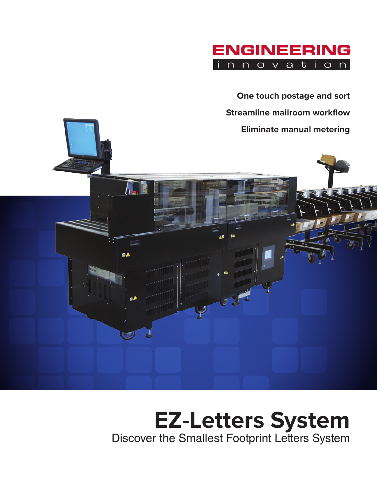

**One touch postage and sort Streamline mailroom workflow Eliminate manual metering**



94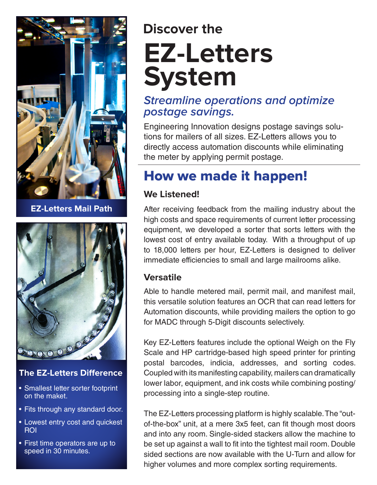

**EZ-Letters Mail Path**



#### **The EZ-Letters Difference**

- Smallest letter sorter footprint on the maket.
- Fits through any standard door.
- Lowest entry cost and quickest ROI
- First time operators are up to speed in 30 minutes.

# **EZ-Letters System Discover the**

#### **Streamline operations and optimize postage savings.**

Engineering Innovation designs postage savings solutions for mailers of all sizes. EZ-Letters allows you to directly access automation discounts while eliminating the meter by applying permit postage.

### How we made it happen!

#### **We Listened!**

After receiving feedback from the mailing industry about the high costs and space requirements of current letter processing equipment, we developed a sorter that sorts letters with the lowest cost of entry available today. With a throughput of up to 18,000 letters per hour, EZ-Letters is designed to deliver immediate efficiencies to small and large mailrooms alike.

#### **Versatile**

Able to handle metered mail, permit mail, and manifest mail, this versatile solution features an OCR that can read letters for Automation discounts, while providing mailers the option to go for MADC through 5-Digit discounts selectively.

Key EZ-Letters features include the optional Weigh on the Fly Scale and HP cartridge-based high speed printer for printing postal barcodes, indicia, addresses, and sorting codes. Coupled with its manifesting capability, mailers can dramatically lower labor, equipment, and ink costs while combining posting/ processing into a single-step routine.

The EZ-Letters processing platform is highly scalable. The "outof-the-box" unit, at a mere 3x5 feet, can fit though most doors and into any room. Single-sided stackers allow the machine to be set up against a wall to fit into the tightest mail room. Double sided sections are now available with the U-Turn and allow for higher volumes and more complex sorting requirements.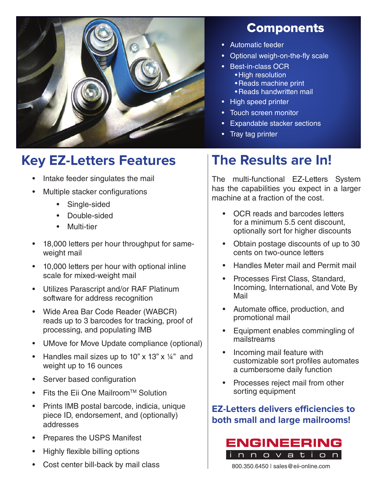

## **Key EZ-Letters Features**

- Intake feeder singulates the mail
- Multiple stacker configurations
	- Single-sided
	- Double-sided
	- Multi-tier
- 18,000 letters per hour throughput for sameweight mail
- 10,000 letters per hour with optional inline scale for mixed-weight mail
- Utilizes Parascript and/or RAF Platinum software for address recognition
- Wide Area Bar Code Reader (WABCR) reads up to 3 barcodes for tracking, proof of processing, and populating IMB
- UMove for Move Update compliance (optional)
- Handles mail sizes up to 10" x 13"  $\times$  14" and weight up to 16 ounces
- Server based configuration
- Fits the Eii One Mailroom™ Solution
- Prints IMB postal barcode, indicia, unique piece ID, endorsement, and (optionally) addresses
- Prepares the USPS Manifest
- Highly flexible billing options
- Cost center bill-back by mail class

### **Components**

- Automatic feeder
- Optional weigh-on-the-fly scale
- Best-in-class OCR • High resolution
	- Reads machine print
	- Reads handwritten mail
- High speed printer
- Touch screen monitor
- Expandable stacker sections
- Tray tag printer

### **The Results are In!**

The multi-functional EZ-Letters System has the capabilities you expect in a larger machine at a fraction of the cost.

- OCR reads and barcodes letters for a minimum 5.5 cent discount, optionally sort for higher discounts
- Obtain postage discounts of up to 30 cents on two-ounce letters
- Handles Meter mail and Permit mail
- Processes First Class, Standard, Incoming, International, and Vote By Mail
- Automate office, production, and promotional mail
- Equipment enables commingling of mailstreams
- Incoming mail feature with customizable sort profiles automates a cumbersome daily function
- Processes reject mail from other sorting equipment

#### **EZ-Letters delivers efficiencies to both small and large mailrooms!**